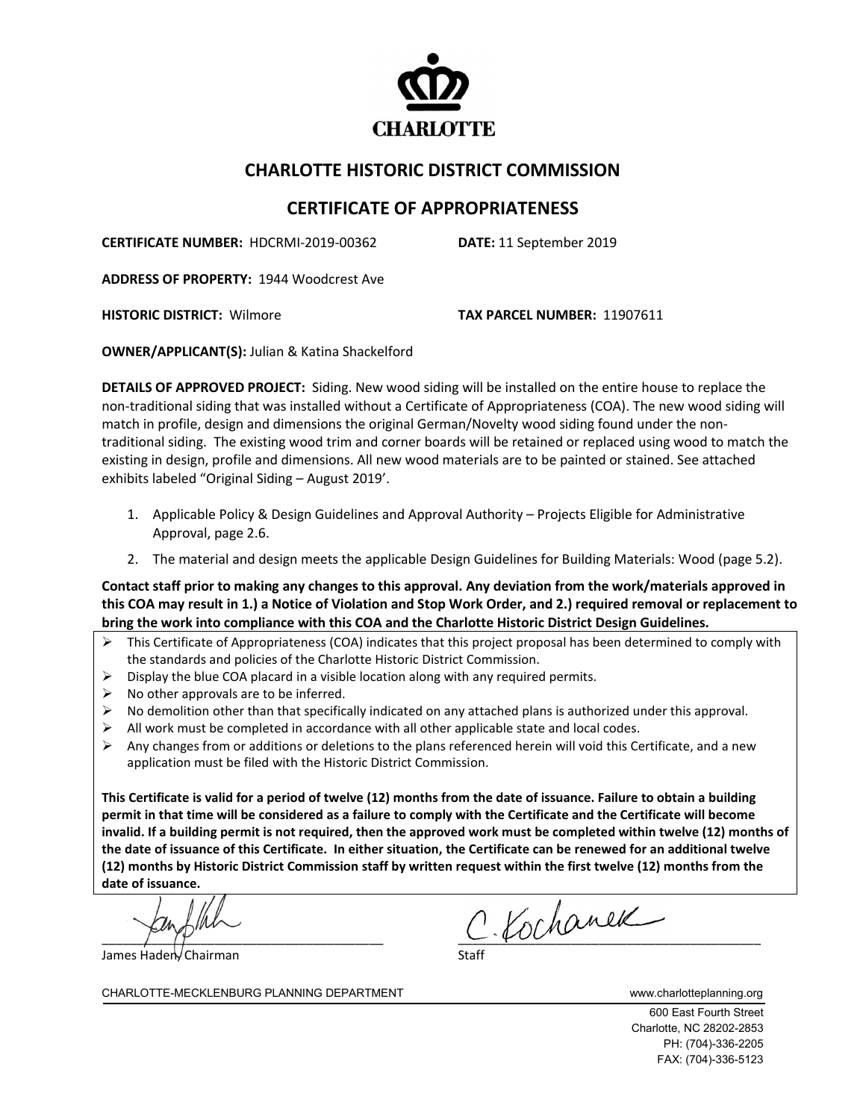

## **CHARLOTTE HISTORIC DISTRICT COMMISSION**

## **CERTIFICATE OF APPROPRIATENESS**

**CERTIFICATE NUMBER:** HDCRMI-2019-00362 **DATE:** 11 September 2019

**ADDRESS OF PROPERTY:** 1944 Woodcrest Ave

**HISTORIC DISTRICT:** Wilmore **TAX PARCEL NUMBER:** 11907611

**OWNER/APPLICANT(S):** Julian & Katina Shackelford

**DETAILS OF APPROVED PROJECT:** Siding. New wood siding will be installed on the entire house to replace the non-traditional siding that was installed without a Certificate of Appropriateness (COA). The new wood siding will match in profile, design and dimensions the original German/Novelty wood siding found under the nontraditional siding. The existing wood trim and corner boards will be retained or replaced using wood to match the existing in design, profile and dimensions. All new wood materials are to be painted or stained. See attached exhibits labeled "Original Siding – August 2019'.

- 1. Applicable Policy & Design Guidelines and Approval Authority Projects Eligible for Administrative Approval, page 2.6.
- 2. The material and design meets the applicable Design Guidelines for Building Materials: Wood (page 5.2).

**Contact staff prior to making any changes to this approval. Any deviation from the work/materials approved in this COA may result in 1.) a Notice of Violation and Stop Work Order, and 2.) required removal or replacement to bring the work into compliance with this COA and the Charlotte Historic District Design Guidelines.**

- This Certificate of Appropriateness (COA) indicates that this project proposal has been determined to comply with the standards and policies of the Charlotte Historic District Commission.
- $\triangleright$  Display the blue COA placard in a visible location along with any required permits.
- $\triangleright$  No other approvals are to be inferred.
- No demolition other than that specifically indicated on any attached plans is authorized under this approval.
- All work must be completed in accordance with all other applicable state and local codes.
- $\triangleright$  Any changes from or additions or deletions to the plans referenced herein will void this Certificate, and a new application must be filed with the Historic District Commission.

**This Certificate is valid for a period of twelve (12) months from the date of issuance. Failure to obtain a building permit in that time will be considered as a failure to comply with the Certificate and the Certificate will become invalid. If a building permit is not required, then the approved work must be completed within twelve (12) months of the date of issuance of this Certificate. In either situation, the Certificate can be renewed for an additional twelve (12) months by Historic District Commission staff by written request within the first twelve (12) months from the date of issuance.** 

James Haden, Chairman

 $c$  Kochanek

CHARLOTTE-MECKLENBURG PLANNING DEPARTMENT www.charlotteplanning.org

600 East Fourth Street Charlotte, NC 28202-2853 PH: (704)-336-2205 FAX: (704)-336-5123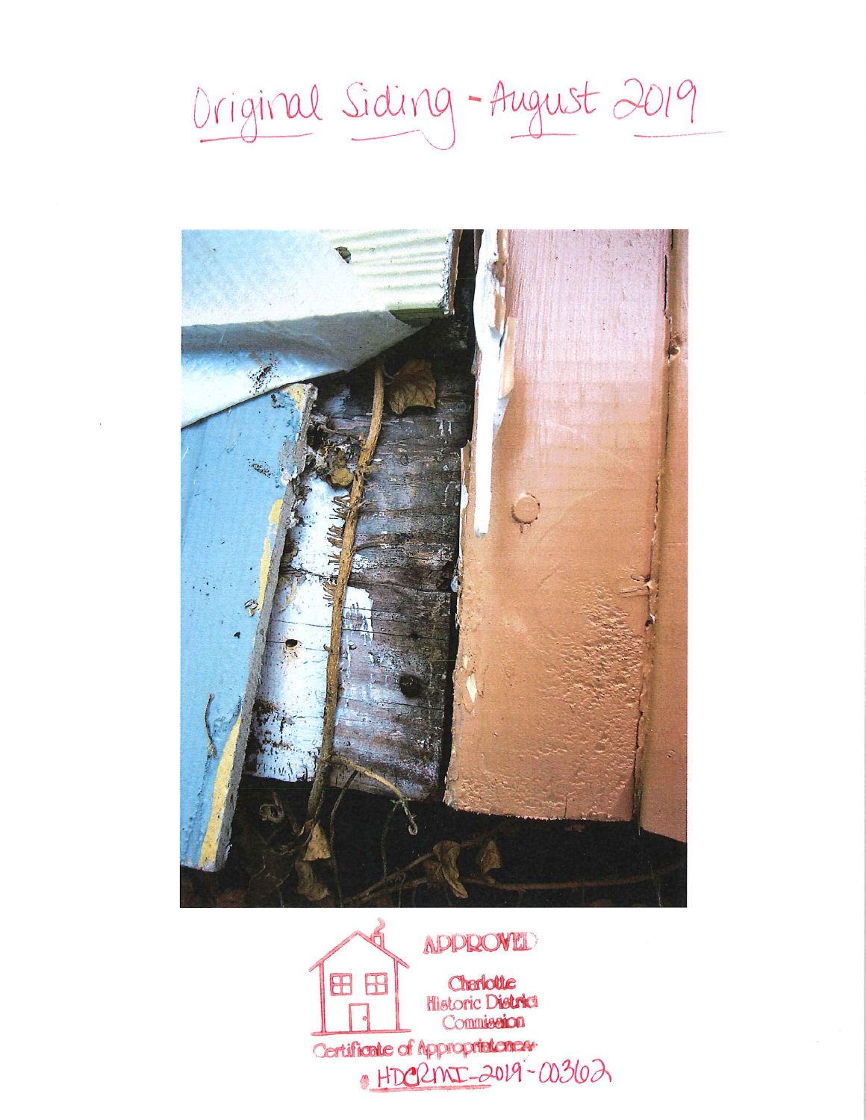Original Siding-August 2019



NPPROVED Charlotte 88 Historic District Commission Certificate of Approprietones